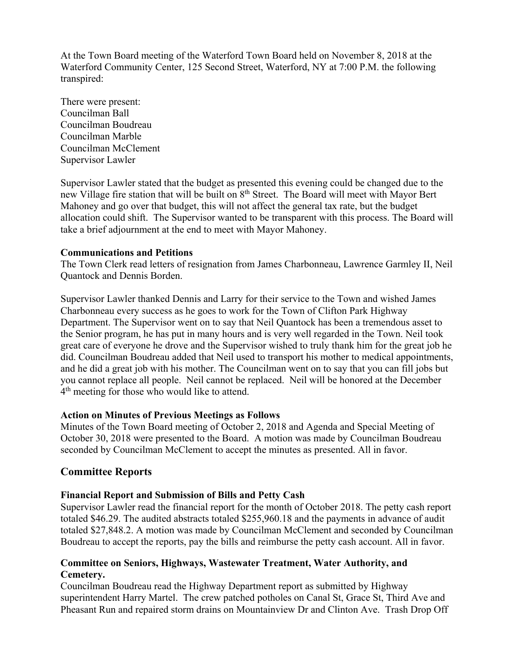At the Town Board meeting of the Waterford Town Board held on November 8, 2018 at the Waterford Community Center, 125 Second Street, Waterford, NY at 7:00 P.M. the following transpired:

There were present: Councilman Ball Councilman Boudreau Councilman Marble Councilman McClement Supervisor Lawler

Supervisor Lawler stated that the budget as presented this evening could be changed due to the new Village fire station that will be built on 8th Street. The Board will meet with Mayor Bert Mahoney and go over that budget, this will not affect the general tax rate, but the budget allocation could shift. The Supervisor wanted to be transparent with this process. The Board will take a brief adjournment at the end to meet with Mayor Mahoney.

### **Communications and Petitions**

The Town Clerk read letters of resignation from James Charbonneau, Lawrence Garmley II, Neil Quantock and Dennis Borden.

Supervisor Lawler thanked Dennis and Larry for their service to the Town and wished James Charbonneau every success as he goes to work for the Town of Clifton Park Highway Department. The Supervisor went on to say that Neil Quantock has been a tremendous asset to the Senior program, he has put in many hours and is very well regarded in the Town. Neil took great care of everyone he drove and the Supervisor wished to truly thank him for the great job he did. Councilman Boudreau added that Neil used to transport his mother to medical appointments, and he did a great job with his mother. The Councilman went on to say that you can fill jobs but you cannot replace all people. Neil cannot be replaced. Neil will be honored at the December  $4<sup>th</sup>$  meeting for those who would like to attend.

# **Action on Minutes of Previous Meetings as Follows**

Minutes of the Town Board meeting of October 2, 2018 and Agenda and Special Meeting of October 30, 2018 were presented to the Board. A motion was made by Councilman Boudreau seconded by Councilman McClement to accept the minutes as presented. All in favor.

# **Committee Reports**

# **Financial Report and Submission of Bills and Petty Cash**

Supervisor Lawler read the financial report for the month of October 2018. The petty cash report totaled \$46.29. The audited abstracts totaled \$255,960.18 and the payments in advance of audit totaled \$27,848.2. A motion was made by Councilman McClement and seconded by Councilman Boudreau to accept the reports, pay the bills and reimburse the petty cash account. All in favor.

## **Committee on Seniors, Highways, Wastewater Treatment, Water Authority, and Cemetery.**

Councilman Boudreau read the Highway Department report as submitted by Highway superintendent Harry Martel. The crew patched potholes on Canal St, Grace St, Third Ave and Pheasant Run and repaired storm drains on Mountainview Dr and Clinton Ave. Trash Drop Off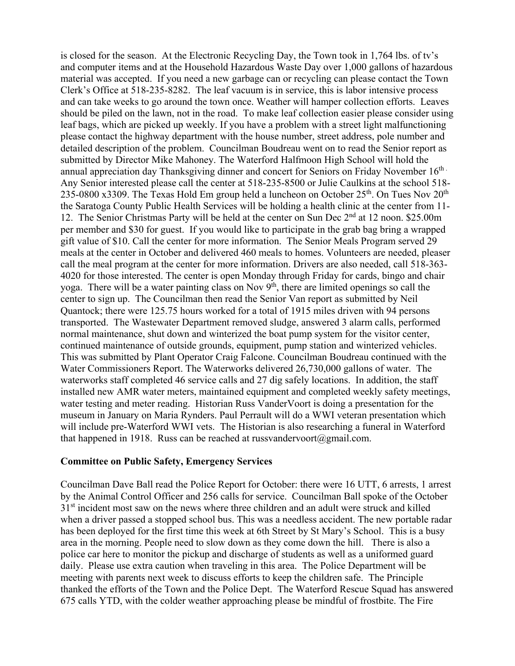is closed for the season. At the Electronic Recycling Day, the Town took in 1,764 lbs. of tv's and computer items and at the Household Hazardous Waste Day over 1,000 gallons of hazardous material was accepted. If you need a new garbage can or recycling can please contact the Town Clerk's Office at 518-235-8282. The leaf vacuum is in service, this is labor intensive process and can take weeks to go around the town once. Weather will hamper collection efforts. Leaves should be piled on the lawn, not in the road. To make leaf collection easier please consider using leaf bags, which are picked up weekly. If you have a problem with a street light malfunctioning please contact the highway department with the house number, street address, pole number and detailed description of the problem. Councilman Boudreau went on to read the Senior report as submitted by Director Mike Mahoney. The Waterford Halfmoon High School will hold the annual appreciation day Thanksgiving dinner and concert for Seniors on Friday November  $16<sup>th</sup>$ . Any Senior interested please call the center at 518-235-8500 or Julie Caulkins at the school 518- 235-0800 x3309. The Texas Hold Em group held a luncheon on October  $25<sup>th</sup>$ . On Tues Nov  $20<sup>th</sup>$ the Saratoga County Public Health Services will be holding a health clinic at the center from 11- 12. The Senior Christmas Party will be held at the center on Sun Dec 2<sup>nd</sup> at 12 noon. \$25.00m per member and \$30 for guest. If you would like to participate in the grab bag bring a wrapped gift value of \$10. Call the center for more information. The Senior Meals Program served 29 meals at the center in October and delivered 460 meals to homes. Volunteers are needed, pleaser call the meal program at the center for more information. Drivers are also needed, call 518-363- 4020 for those interested. The center is open Monday through Friday for cards, bingo and chair yoga. There will be a water painting class on Nov  $9<sup>th</sup>$ , there are limited openings so call the center to sign up. The Councilman then read the Senior Van report as submitted by Neil Quantock; there were 125.75 hours worked for a total of 1915 miles driven with 94 persons transported. The Wastewater Department removed sludge, answered 3 alarm calls, performed normal maintenance, shut down and winterized the boat pump system for the visitor center, continued maintenance of outside grounds, equipment, pump station and winterized vehicles. This was submitted by Plant Operator Craig Falcone. Councilman Boudreau continued with the Water Commissioners Report. The Waterworks delivered 26,730,000 gallons of water. The waterworks staff completed 46 service calls and 27 dig safely locations. In addition, the staff installed new AMR water meters, maintained equipment and completed weekly safety meetings, water testing and meter reading. Historian Russ VanderVoort is doing a presentation for the museum in January on Maria Rynders. Paul Perrault will do a WWI veteran presentation which will include pre-Waterford WWI vets. The Historian is also researching a funeral in Waterford that happened in 1918. Russ can be reached at russvandervoort@gmail.com.

#### **Committee on Public Safety, Emergency Services**

Councilman Dave Ball read the Police Report for October: there were 16 UTT, 6 arrests, 1 arrest by the Animal Control Officer and 256 calls for service. Councilman Ball spoke of the October 31<sup>st</sup> incident most saw on the news where three children and an adult were struck and killed when a driver passed a stopped school bus. This was a needless accident. The new portable radar has been deployed for the first time this week at 6th Street by St Mary's School. This is a busy area in the morning. People need to slow down as they come down the hill. There is also a police car here to monitor the pickup and discharge of students as well as a uniformed guard daily. Please use extra caution when traveling in this area. The Police Department will be meeting with parents next week to discuss efforts to keep the children safe. The Principle thanked the efforts of the Town and the Police Dept. The Waterford Rescue Squad has answered 675 calls YTD, with the colder weather approaching please be mindful of frostbite. The Fire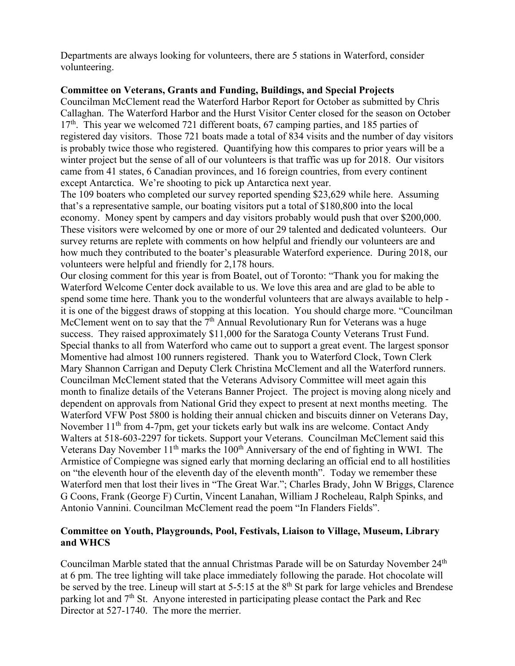Departments are always looking for volunteers, there are 5 stations in Waterford, consider volunteering.

### **Committee on Veterans, Grants and Funding, Buildings, and Special Projects**

Councilman McClement read the Waterford Harbor Report for October as submitted by Chris Callaghan. The Waterford Harbor and the Hurst Visitor Center closed for the season on October 17<sup>th</sup>. This year we welcomed 721 different boats, 67 camping parties, and 185 parties of registered day visitors. Those 721 boats made a total of 834 visits and the number of day visitors is probably twice those who registered. Quantifying how this compares to prior years will be a winter project but the sense of all of our volunteers is that traffic was up for 2018. Our visitors came from 41 states, 6 Canadian provinces, and 16 foreign countries, from every continent except Antarctica. We're shooting to pick up Antarctica next year.

The 109 boaters who completed our survey reported spending \$23,629 while here. Assuming that's a representative sample, our boating visitors put a total of \$180,800 into the local economy. Money spent by campers and day visitors probably would push that over \$200,000. These visitors were welcomed by one or more of our 29 talented and dedicated volunteers. Our survey returns are replete with comments on how helpful and friendly our volunteers are and how much they contributed to the boater's pleasurable Waterford experience. During 2018, our volunteers were helpful and friendly for 2,178 hours.

Our closing comment for this year is from Boatel, out of Toronto: "Thank you for making the Waterford Welcome Center dock available to us. We love this area and are glad to be able to spend some time here. Thank you to the wonderful volunteers that are always available to help it is one of the biggest draws of stopping at this location. You should charge more. "Councilman McClement went on to say that the  $7<sup>th</sup>$  Annual Revolutionary Run for Veterans was a huge success. They raised approximately \$11,000 for the Saratoga County Veterans Trust Fund. Special thanks to all from Waterford who came out to support a great event. The largest sponsor Momentive had almost 100 runners registered. Thank you to Waterford Clock, Town Clerk Mary Shannon Carrigan and Deputy Clerk Christina McClement and all the Waterford runners. Councilman McClement stated that the Veterans Advisory Committee will meet again this month to finalize details of the Veterans Banner Project. The project is moving along nicely and dependent on approvals from National Grid they expect to present at next months meeting. The Waterford VFW Post 5800 is holding their annual chicken and biscuits dinner on Veterans Day, November  $11<sup>th</sup>$  from 4-7pm, get your tickets early but walk ins are welcome. Contact Andy Walters at 518-603-2297 for tickets. Support your Veterans. Councilman McClement said this Veterans Day November  $11<sup>th</sup>$  marks the  $100<sup>th</sup>$  Anniversary of the end of fighting in WWI. The Armistice of Compiegne was signed early that morning declaring an official end to all hostilities on "the eleventh hour of the eleventh day of the eleventh month". Today we remember these Waterford men that lost their lives in "The Great War."; Charles Brady, John W Briggs, Clarence G Coons, Frank (George F) Curtin, Vincent Lanahan, William J Rocheleau, Ralph Spinks, and Antonio Vannini. Councilman McClement read the poem "In Flanders Fields".

## **Committee on Youth, Playgrounds, Pool, Festivals, Liaison to Village, Museum, Library and WHCS**

Councilman Marble stated that the annual Christmas Parade will be on Saturday November 24<sup>th</sup> at 6 pm. The tree lighting will take place immediately following the parade. Hot chocolate will be served by the tree. Lineup will start at 5-5:15 at the 8<sup>th</sup> St park for large vehicles and Brendese parking lot and 7th St. Anyone interested in participating please contact the Park and Rec Director at 527-1740. The more the merrier.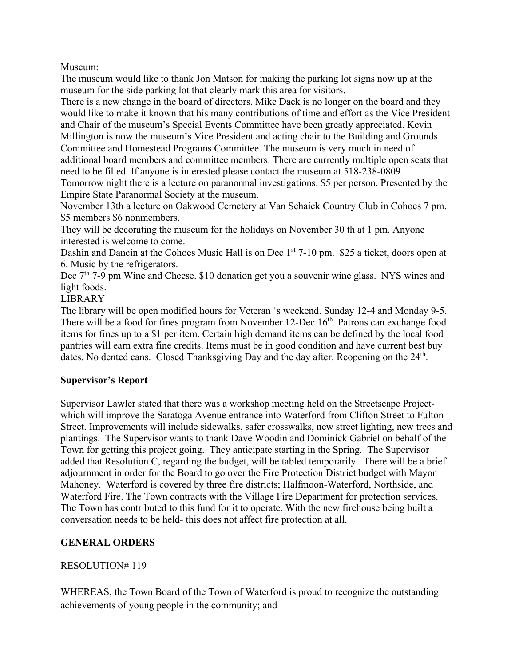Museum:

The museum would like to thank Jon Matson for making the parking lot signs now up at the museum for the side parking lot that clearly mark this area for visitors.

There is a new change in the board of directors. Mike Dack is no longer on the board and they would like to make it known that his many contributions of time and effort as the Vice President and Chair of the museum's Special Events Committee have been greatly appreciated. Kevin Millington is now the museum's Vice President and acting chair to the Building and Grounds Committee and Homestead Programs Committee. The museum is very much in need of additional board members and committee members. There are currently multiple open seats that need to be filled. If anyone is interested please contact the museum at 518-238-0809.

Tomorrow night there is a lecture on paranormal investigations. \$5 per person. Presented by the Empire State Paranormal Society at the museum.

November 13th a lecture on Oakwood Cemetery at Van Schaick Country Club in Cohoes 7 pm. \$5 members \$6 nonmembers.

They will be decorating the museum for the holidays on November 30 th at 1 pm. Anyone interested is welcome to come.

Dashin and Dancin at the Cohoes Music Hall is on Dec  $1<sup>st</sup>$  7-10 pm. \$25 a ticket, doors open at 6. Music by the refrigerators.

Dec 7<sup>th</sup> 7-9 pm Wine and Cheese. \$10 donation get you a souvenir wine glass. NYS wines and light foods.

LIBRARY

The library will be open modified hours for Veteran 's weekend. Sunday 12-4 and Monday 9-5. There will be a food for fines program from November 12-Dec 16<sup>th</sup>. Patrons can exchange food items for fines up to a \$1 per item. Certain high demand items can be defined by the local food pantries will earn extra fine credits. Items must be in good condition and have current best buy dates. No dented cans. Closed Thanksgiving Day and the day after. Reopening on the 24<sup>th</sup>.

# **Supervisor's Report**

Supervisor Lawler stated that there was a workshop meeting held on the Streetscape Projectwhich will improve the Saratoga Avenue entrance into Waterford from Clifton Street to Fulton Street. Improvements will include sidewalks, safer crosswalks, new street lighting, new trees and plantings. The Supervisor wants to thank Dave Woodin and Dominick Gabriel on behalf of the Town for getting this project going. They anticipate starting in the Spring. The Supervisor added that Resolution C, regarding the budget, will be tabled temporarily. There will be a brief adjournment in order for the Board to go over the Fire Protection District budget with Mayor Mahoney. Waterford is covered by three fire districts; Halfmoon-Waterford, Northside, and Waterford Fire. The Town contracts with the Village Fire Department for protection services. The Town has contributed to this fund for it to operate. With the new firehouse being built a conversation needs to be held- this does not affect fire protection at all.

# **GENERAL ORDERS**

# RESOLUTION# 119

WHEREAS, the Town Board of the Town of Waterford is proud to recognize the outstanding achievements of young people in the community; and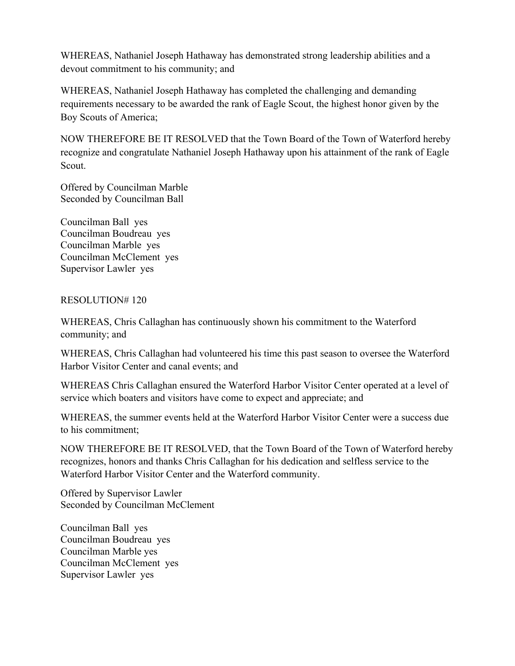WHEREAS, Nathaniel Joseph Hathaway has demonstrated strong leadership abilities and a devout commitment to his community; and

WHEREAS, Nathaniel Joseph Hathaway has completed the challenging and demanding requirements necessary to be awarded the rank of Eagle Scout, the highest honor given by the Boy Scouts of America;

NOW THEREFORE BE IT RESOLVED that the Town Board of the Town of Waterford hereby recognize and congratulate Nathaniel Joseph Hathaway upon his attainment of the rank of Eagle Scout.

Offered by Councilman Marble Seconded by Councilman Ball

Councilman Ball yes Councilman Boudreau yes Councilman Marble yes Councilman McClement yes Supervisor Lawler yes

## RESOLUTION# 120

WHEREAS, Chris Callaghan has continuously shown his commitment to the Waterford community; and

WHEREAS, Chris Callaghan had volunteered his time this past season to oversee the Waterford Harbor Visitor Center and canal events; and

WHEREAS Chris Callaghan ensured the Waterford Harbor Visitor Center operated at a level of service which boaters and visitors have come to expect and appreciate; and

WHEREAS, the summer events held at the Waterford Harbor Visitor Center were a success due to his commitment;

NOW THEREFORE BE IT RESOLVED, that the Town Board of the Town of Waterford hereby recognizes, honors and thanks Chris Callaghan for his dedication and selfless service to the Waterford Harbor Visitor Center and the Waterford community.

Offered by Supervisor Lawler Seconded by Councilman McClement

Councilman Ball yes Councilman Boudreau yes Councilman Marble yes Councilman McClement yes Supervisor Lawler yes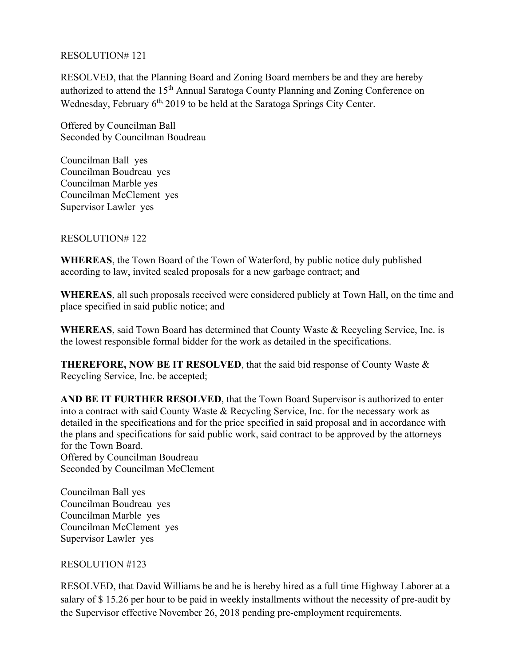## RESOLUTION# 121

RESOLVED, that the Planning Board and Zoning Board members be and they are hereby authorized to attend the 15<sup>th</sup> Annual Saratoga County Planning and Zoning Conference on Wednesday, February 6<sup>th,</sup> 2019 to be held at the Saratoga Springs City Center.

Offered by Councilman Ball Seconded by Councilman Boudreau

Councilman Ball yes Councilman Boudreau yes Councilman Marble yes Councilman McClement yes Supervisor Lawler yes

RESOLUTION# 122

**WHEREAS**, the Town Board of the Town of Waterford, by public notice duly published according to law, invited sealed proposals for a new garbage contract; and

**WHEREAS**, all such proposals received were considered publicly at Town Hall, on the time and place specified in said public notice; and

**WHEREAS**, said Town Board has determined that County Waste & Recycling Service, Inc. is the lowest responsible formal bidder for the work as detailed in the specifications.

**THEREFORE, NOW BE IT RESOLVED**, that the said bid response of County Waste & Recycling Service, Inc. be accepted;

**AND BE IT FURTHER RESOLVED**, that the Town Board Supervisor is authorized to enter into a contract with said County Waste & Recycling Service, Inc. for the necessary work as detailed in the specifications and for the price specified in said proposal and in accordance with the plans and specifications for said public work, said contract to be approved by the attorneys for the Town Board. Offered by Councilman Boudreau

Seconded by Councilman McClement

Councilman Ball yes Councilman Boudreau yes Councilman Marble yes Councilman McClement yes Supervisor Lawler yes

RESOLUTION #123

RESOLVED, that David Williams be and he is hereby hired as a full time Highway Laborer at a salary of \$ 15.26 per hour to be paid in weekly installments without the necessity of pre-audit by the Supervisor effective November 26, 2018 pending pre-employment requirements.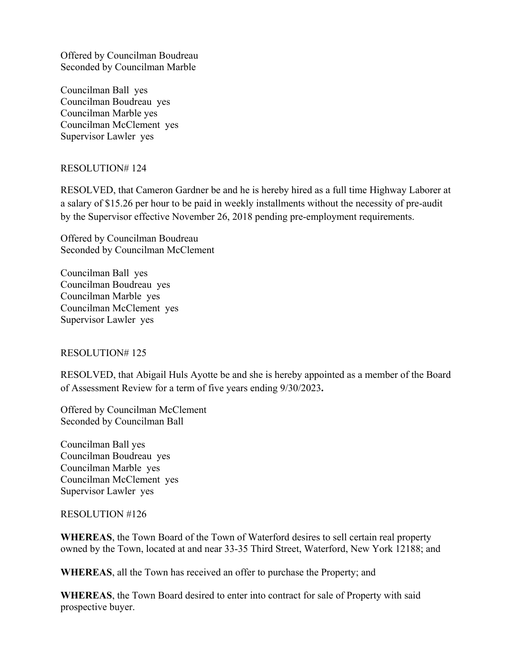Offered by Councilman Boudreau Seconded by Councilman Marble

Councilman Ball yes Councilman Boudreau yes Councilman Marble yes Councilman McClement yes Supervisor Lawler yes

## RESOLUTION# 124

RESOLVED, that Cameron Gardner be and he is hereby hired as a full time Highway Laborer at a salary of \$15.26 per hour to be paid in weekly installments without the necessity of pre-audit by the Supervisor effective November 26, 2018 pending pre-employment requirements.

Offered by Councilman Boudreau Seconded by Councilman McClement

Councilman Ball yes Councilman Boudreau yes Councilman Marble yes Councilman McClement yes Supervisor Lawler yes

### RESOLUTION# 125

RESOLVED, that Abigail Huls Ayotte be and she is hereby appointed as a member of the Board of Assessment Review for a term of five years ending 9/30/2023**.**

Offered by Councilman McClement Seconded by Councilman Ball

Councilman Ball yes Councilman Boudreau yes Councilman Marble yes Councilman McClement yes Supervisor Lawler yes

### RESOLUTION #126

**WHEREAS**, the Town Board of the Town of Waterford desires to sell certain real property owned by the Town, located at and near 33-35 Third Street, Waterford, New York 12188; and

**WHEREAS**, all the Town has received an offer to purchase the Property; and

**WHEREAS**, the Town Board desired to enter into contract for sale of Property with said prospective buyer.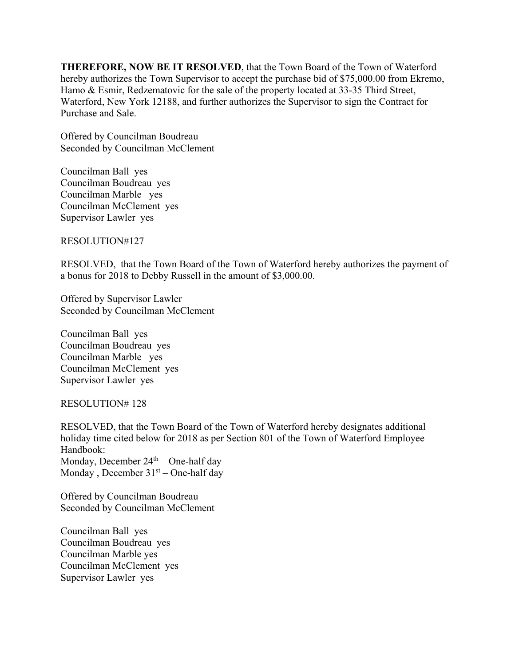**THEREFORE, NOW BE IT RESOLVED**, that the Town Board of the Town of Waterford hereby authorizes the Town Supervisor to accept the purchase bid of \$75,000.00 from Ekremo, Hamo & Esmir, Redzematovic for the sale of the property located at 33-35 Third Street, Waterford, New York 12188, and further authorizes the Supervisor to sign the Contract for Purchase and Sale.

Offered by Councilman Boudreau Seconded by Councilman McClement

Councilman Ball yes Councilman Boudreau yes Councilman Marble yes Councilman McClement yes Supervisor Lawler yes

RESOLUTION#127

RESOLVED, that the Town Board of the Town of Waterford hereby authorizes the payment of a bonus for 2018 to Debby Russell in the amount of \$3,000.00.

Offered by Supervisor Lawler Seconded by Councilman McClement

Councilman Ball yes Councilman Boudreau yes Councilman Marble yes Councilman McClement yes Supervisor Lawler yes

### RESOLUTION# 128

RESOLVED, that the Town Board of the Town of Waterford hereby designates additional holiday time cited below for 2018 as per Section 801 of the Town of Waterford Employee Handbook: Monday, December 24<sup>th</sup> – One-half day Monday, December  $31<sup>st</sup>$  – One-half day

Offered by Councilman Boudreau Seconded by Councilman McClement

Councilman Ball yes Councilman Boudreau yes Councilman Marble yes Councilman McClement yes Supervisor Lawler yes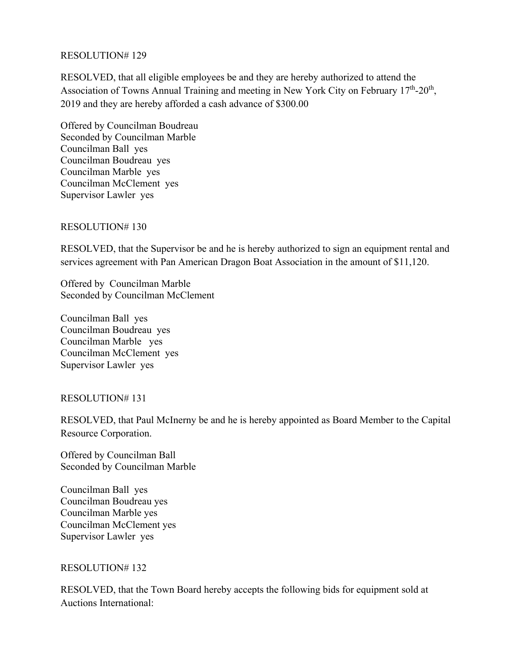### RESOLUTION# 129

RESOLVED, that all eligible employees be and they are hereby authorized to attend the Association of Towns Annual Training and meeting in New York City on February  $17<sup>th</sup>$ -20<sup>th</sup>, 2019 and they are hereby afforded a cash advance of \$300.00

Offered by Councilman Boudreau Seconded by Councilman Marble Councilman Ball yes Councilman Boudreau yes Councilman Marble yes Councilman McClement yes Supervisor Lawler yes

### RESOLUTION# 130

RESOLVED, that the Supervisor be and he is hereby authorized to sign an equipment rental and services agreement with Pan American Dragon Boat Association in the amount of \$11,120.

Offered by Councilman Marble Seconded by Councilman McClement

Councilman Ball yes Councilman Boudreau yes Councilman Marble yes Councilman McClement yes Supervisor Lawler yes

### RESOLUTION# 131

RESOLVED, that Paul McInerny be and he is hereby appointed as Board Member to the Capital Resource Corporation.

Offered by Councilman Ball Seconded by Councilman Marble

Councilman Ball yes Councilman Boudreau yes Councilman Marble yes Councilman McClement yes Supervisor Lawler yes

### RESOLUTION# 132

RESOLVED, that the Town Board hereby accepts the following bids for equipment sold at Auctions International: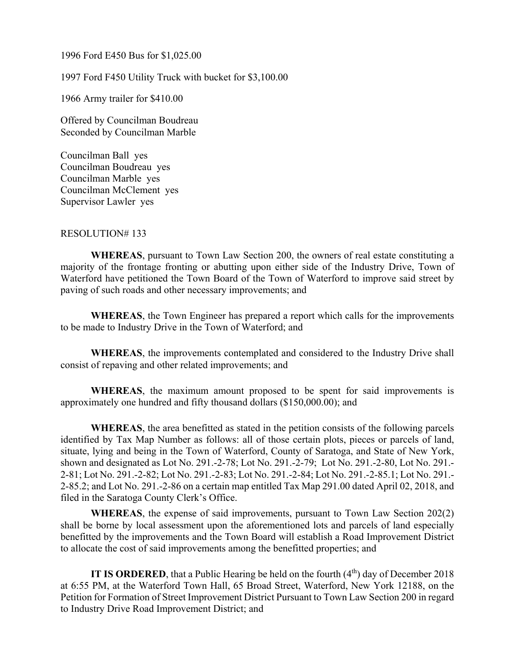1996 Ford E450 Bus for \$1,025.00

1997 Ford F450 Utility Truck with bucket for \$3,100.00

1966 Army trailer for \$410.00

Offered by Councilman Boudreau Seconded by Councilman Marble

Councilman Ball yes Councilman Boudreau yes Councilman Marble yes Councilman McClement yes Supervisor Lawler yes

#### RESOLUTION# 133

**WHEREAS**, pursuant to Town Law Section 200, the owners of real estate constituting a majority of the frontage fronting or abutting upon either side of the Industry Drive, Town of Waterford have petitioned the Town Board of the Town of Waterford to improve said street by paving of such roads and other necessary improvements; and

**WHEREAS**, the Town Engineer has prepared a report which calls for the improvements to be made to Industry Drive in the Town of Waterford; and

**WHEREAS**, the improvements contemplated and considered to the Industry Drive shall consist of repaving and other related improvements; and

**WHEREAS**, the maximum amount proposed to be spent for said improvements is approximately one hundred and fifty thousand dollars (\$150,000.00); and

**WHEREAS**, the area benefitted as stated in the petition consists of the following parcels identified by Tax Map Number as follows: all of those certain plots, pieces or parcels of land, situate, lying and being in the Town of Waterford, County of Saratoga, and State of New York, shown and designated as Lot No. 291.-2-78; Lot No. 291.-2-79; Lot No. 291.-2-80, Lot No. 291.- 2-81; Lot No. 291.-2-82; Lot No. 291.-2-83; Lot No. 291.-2-84; Lot No. 291.-2-85.1; Lot No. 291.- 2-85.2; and Lot No. 291.-2-86 on a certain map entitled Tax Map 291.00 dated April 02, 2018, and filed in the Saratoga County Clerk's Office.

**WHEREAS**, the expense of said improvements, pursuant to Town Law Section 202(2) shall be borne by local assessment upon the aforementioned lots and parcels of land especially benefitted by the improvements and the Town Board will establish a Road Improvement District to allocate the cost of said improvements among the benefitted properties; and

**IT IS ORDERED**, that a Public Hearing be held on the fourth  $(4<sup>th</sup>)$  day of December 2018 at 6:55 PM, at the Waterford Town Hall, 65 Broad Street, Waterford, New York 12188, on the Petition for Formation of Street Improvement District Pursuant to Town Law Section 200 in regard to Industry Drive Road Improvement District; and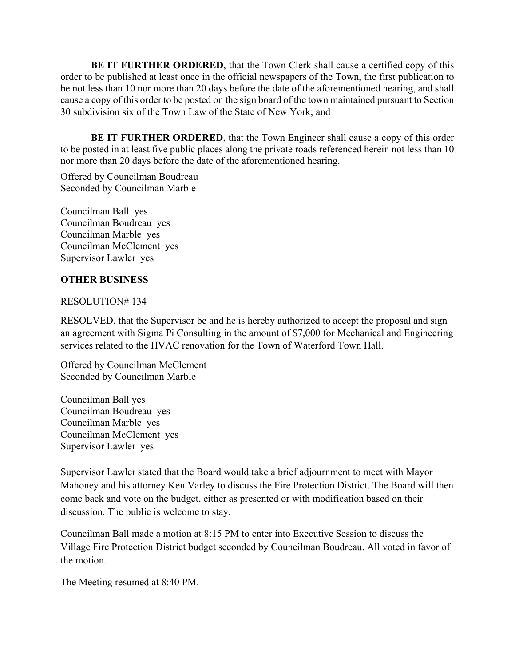**BE IT FURTHER ORDERED**, that the Town Clerk shall cause a certified copy of this order to be published at least once in the official newspapers of the Town, the first publication to be not less than 10 nor more than 20 days before the date of the aforementioned hearing, and shall cause a copy of this order to be posted on the sign board of the town maintained pursuant to Section 30 subdivision six of the Town Law of the State of New York; and

**BE IT FURTHER ORDERED**, that the Town Engineer shall cause a copy of this order to be posted in at least five public places along the private roads referenced herein not less than 10 nor more than 20 days before the date of the aforementioned hearing.

Offered by Councilman Boudreau Seconded by Councilman Marble

Councilman Ball yes Councilman Boudreau yes Councilman Marble yes Councilman McClement yes Supervisor Lawler yes

# **OTHER BUSINESS**

## RESOLUTION# 134

RESOLVED, that the Supervisor be and he is hereby authorized to accept the proposal and sign an agreement with Sigma Pi Consulting in the amount of \$7,000 for Mechanical and Engineering services related to the HVAC renovation for the Town of Waterford Town Hall.

Offered by Councilman McClement Seconded by Councilman Marble

Councilman Ball yes Councilman Boudreau yes Councilman Marble yes Councilman McClement yes Supervisor Lawler yes

Supervisor Lawler stated that the Board would take a brief adjournment to meet with Mayor Mahoney and his attorney Ken Varley to discuss the Fire Protection District. The Board will then come back and vote on the budget, either as presented or with modification based on their discussion. The public is welcome to stay.

Councilman Ball made a motion at 8:15 PM to enter into Executive Session to discuss the Village Fire Protection District budget seconded by Councilman Boudreau. All voted in favor of the motion.

The Meeting resumed at 8:40 PM.